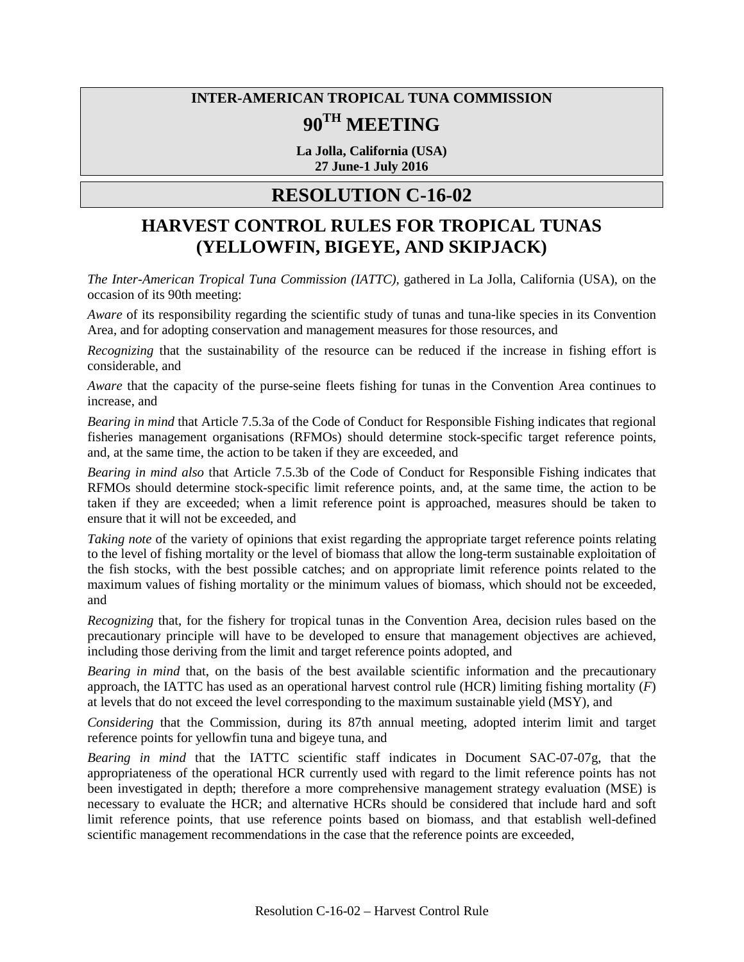## **INTER-AMERICAN TROPICAL TUNA COMMISSION 90TH MEETING**

**La Jolla, California (USA) 27 June-1 July 2016**

## **RESOLUTION C-16-02**

## **HARVEST CONTROL RULES FOR TROPICAL TUNAS (YELLOWFIN, BIGEYE, AND SKIPJACK)**

*The Inter-American Tropical Tuna Commission (IATTC),* gathered in La Jolla, California (USA), on the occasion of its 90th meeting:

*Aware* of its responsibility regarding the scientific study of tunas and tuna-like species in its Convention Area, and for adopting conservation and management measures for those resources, and

*Recognizing* that the sustainability of the resource can be reduced if the increase in fishing effort is considerable, and

*Aware* that the capacity of the purse-seine fleets fishing for tunas in the Convention Area continues to increase, and

*Bearing in mind* that Article 7.5.3a of the Code of Conduct for Responsible Fishing indicates that regional fisheries management organisations (RFMOs) should determine stock-specific target reference points, and, at the same time, the action to be taken if they are exceeded, and

*Bearing in mind also* that Article 7.5.3b of the Code of Conduct for Responsible Fishing indicates that RFMOs should determine stock-specific limit reference points, and, at the same time, the action to be taken if they are exceeded; when a limit reference point is approached, measures should be taken to ensure that it will not be exceeded, and

*Taking note* of the variety of opinions that exist regarding the appropriate target reference points relating to the level of fishing mortality or the level of biomass that allow the long-term sustainable exploitation of the fish stocks, with the best possible catches; and on appropriate limit reference points related to the maximum values of fishing mortality or the minimum values of biomass, which should not be exceeded, and

*Recognizing* that, for the fishery for tropical tunas in the Convention Area, decision rules based on the precautionary principle will have to be developed to ensure that management objectives are achieved, including those deriving from the limit and target reference points adopted, and

*Bearing in mind* that, on the basis of the best available scientific information and the precautionary approach, the IATTC has used as an operational harvest control rule (HCR) limiting fishing mortality (*F*) at levels that do not exceed the level corresponding to the maximum sustainable yield (MSY), and

*Considering* that the Commission, during its 87th annual meeting, adopted interim limit and target reference points for yellowfin tuna and bigeye tuna, and

*Bearing in mind* that the IATTC scientific staff indicates in Document SAC-07-07g, that the appropriateness of the operational HCR currently used with regard to the limit reference points has not been investigated in depth; therefore a more comprehensive management strategy evaluation (MSE) is necessary to evaluate the HCR; and alternative HCRs should be considered that include hard and soft limit reference points, that use reference points based on biomass, and that establish well-defined scientific management recommendations in the case that the reference points are exceeded,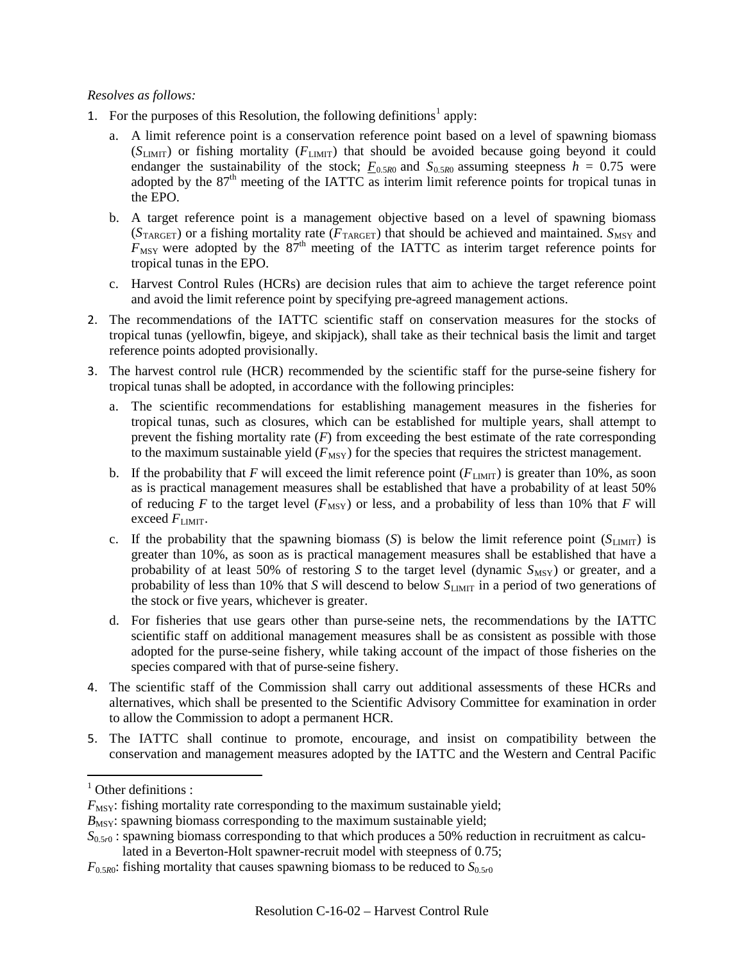## *Resolves as follows:*

- [1](#page-1-0). For the purposes of this Resolution, the following definitions<sup>1</sup> apply:
	- a. A limit reference point is a conservation reference point based on a level of spawning biomass (*S*LIMIT) or fishing mortality (*F*LIMIT) that should be avoided because going beyond it could endanger the sustainability of the stock;  $F_{0.5R0}$  and  $S_{0.5R0}$  assuming steepness  $h = 0.75$  were adopted by the 87<sup>th</sup> meeting of the IATTC as interim limit reference points for tropical tunas in the EPO.
	- b. A target reference point is a management objective based on a level of spawning biomass  $(S_{\text{TARGE}})$  or a fishing mortality rate ( $F_{\text{TARGE}}$ ) that should be achieved and maintained.  $S_{\text{MSY}}$  and  $F_{\text{MSY}}$  were adopted by the  $87<sup>th</sup>$  meeting of the IATTC as interim target reference points for tropical tunas in the EPO.
	- c. Harvest Control Rules (HCRs) are decision rules that aim to achieve the target reference point and avoid the limit reference point by specifying pre-agreed management actions.
- 2. The recommendations of the IATTC scientific staff on conservation measures for the stocks of tropical tunas (yellowfin, bigeye, and skipjack), shall take as their technical basis the limit and target reference points adopted provisionally.
- 3. The harvest control rule (HCR) recommended by the scientific staff for the purse-seine fishery for tropical tunas shall be adopted, in accordance with the following principles:
	- a. The scientific recommendations for establishing management measures in the fisheries for tropical tunas, such as closures, which can be established for multiple years, shall attempt to prevent the fishing mortality rate (*F*) from exceeding the best estimate of the rate corresponding to the maximum sustainable yield  $(F_{\text{MSY}})$  for the species that requires the strictest management.
	- b. If the probability that *F* will exceed the limit reference point  $(F_{LIMIT})$  is greater than 10%, as soon as is practical management measures shall be established that have a probability of at least 50% of reducing *F* to the target level ( $F_{\text{MSY}}$ ) or less, and a probability of less than 10% that *F* will exceed  $F_{\text{LIMIT}}$ .
	- c. If the probability that the spawning biomass  $(S)$  is below the limit reference point  $(S_{LIMIT})$  is greater than 10%, as soon as is practical management measures shall be established that have a probability of at least 50% of restoring *S* to the target level (dynamic  $S_{\text{MSY}}$ ) or greater, and a probability of less than 10% that *S* will descend to below  $S_{\text{LMT}}$  in a period of two generations of the stock or five years, whichever is greater.
	- d. For fisheries that use gears other than purse-seine nets, the recommendations by the IATTC scientific staff on additional management measures shall be as consistent as possible with those adopted for the purse-seine fishery, while taking account of the impact of those fisheries on the species compared with that of purse-seine fishery.
- 4. The scientific staff of the Commission shall carry out additional assessments of these HCRs and alternatives, which shall be presented to the Scientific Advisory Committee for examination in order to allow the Commission to adopt a permanent HCR.
- 5. The IATTC shall continue to promote, encourage, and insist on compatibility between the conservation and management measures adopted by the IATTC and the Western and Central Pacific

<span id="page-1-0"></span> $<sup>1</sup>$  Other definitions :</sup>

 $F_{\text{MSY}}$ : fishing mortality rate corresponding to the maximum sustainable yield;

 $B_{\text{MSY}}$ : spawning biomass corresponding to the maximum sustainable yield;

 $S_{0.5r0}$ : spawning biomass corresponding to that which produces a 50% reduction in recruitment as calcu-

lated in a Beverton-Holt spawner-recruit model with steepness of 0.75;

 $F_{0.5R0}$ : fishing mortality that causes spawning biomass to be reduced to  $S_{0.5r0}$